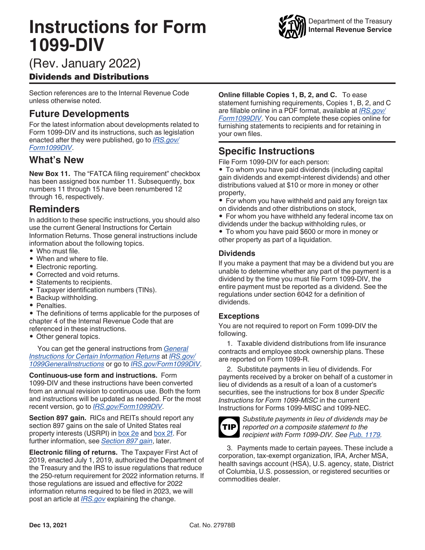# **Instructions for Form 1099-DIV**



## (Rev. January 2022)

## Dividends and Distributions

Section references are to the Internal Revenue Code unless otherwise noted.

## **Future Developments**

For the latest information about developments related to Form 1099-DIV and its instructions, such as legislation enacted after they were published, go to *[IRS.gov/](https://www.irs.gov/form1099div) [Form1099DIV](https://www.irs.gov/form1099div)*.

## **What's New**

**New Box 11.** The "FATCA filing requirement" checkbox has been assigned box number 11. Subsequently, box numbers 11 through 15 have been renumbered 12 through 16, respectively.

## **Reminders**

In addition to these specific instructions, you should also use the current General Instructions for Certain Information Returns. Those general instructions include information about the following topics.

- Who must file.
- When and where to file.
- Electronic reporting.
- Corrected and void returns.
- Statements to recipients.
- Taxpayer identification numbers (TINs).
- Backup withholding.
- Penalties.

• The definitions of terms applicable for the purposes of chapter 4 of the Internal Revenue Code that are referenced in these instructions.

• Other general topics.

You can get the general instructions from *[General](https://www.irs.gov/pub/irs-pdf/i1099gi.pdf) [Instructions for Certain Information Returns](https://www.irs.gov/pub/irs-pdf/i1099gi.pdf)* at *[IRS.gov/](https://www.irs.gov/uac/about-form-1099) [1099GeneralInstructions](https://www.irs.gov/uac/about-form-1099)* or go to *[IRS.gov/Form1099DIV](https://www.irs.gov/form1099div)*.

**Continuous-use form and instructions.** Form 1099-DIV and these instructions have been converted from an annual revision to continuous use. Both the form and instructions will be updated as needed. For the most recent version, go to *[IRS.gov/Form1099DIV](https://www.irs.gov/Form1099DIV)*.

**Section 897 gain.** RICs and REITs should report any section 897 gains on the sale of United States real property interests (USRPI) in [box 2e](#page-4-0) and [box 2f.](#page-4-0) For further information, see *[Section 897 gain](#page-2-0)*, later.

**Electronic filing of returns.** The Taxpayer First Act of 2019, enacted July 1, 2019, authorized the Department of the Treasury and the IRS to issue regulations that reduce the 250-return requirement for 2022 information returns. If those regulations are issued and effective for 2022 information returns required to be filed in 2023, we will post an article at *[IRS.gov](https://www.irs.gov)* explaining the change.

**Online fillable Copies 1, B, 2, and C.** To ease statement furnishing requirements, Copies 1, B, 2, and C are fillable online in a PDF format, available at *[IRS.gov/](https://www.irs.gov/form1099div) [Form1099DIV](https://www.irs.gov/form1099div)*. You can complete these copies online for furnishing statements to recipients and for retaining in your own files.

## **Specific Instructions**

File Form 1099-DIV for each person:

• To whom you have paid dividends (including capital gain dividends and exempt-interest dividends) and other distributions valued at \$10 or more in money or other property,

- For whom you have withheld and paid any foreign tax on dividends and other distributions on stock,
- For whom you have withheld any federal income tax on dividends under the backup withholding rules, or

• To whom you have paid \$600 or more in money or other property as part of a liquidation.

#### **Dividends**

If you make a payment that may be a dividend but you are unable to determine whether any part of the payment is a dividend by the time you must file Form 1099-DIV, the entire payment must be reported as a dividend. See the regulations under section 6042 for a definition of dividends.

#### **Exceptions**

You are not required to report on Form 1099-DIV the following.

1. Taxable dividend distributions from life insurance contracts and employee stock ownership plans. These are reported on Form 1099-R.

2. Substitute payments in lieu of dividends. For payments received by a broker on behalf of a customer in lieu of dividends as a result of a loan of a customer's securities, see the instructions for box 8 under *Specific Instructions for Form 1099-MISC* in the current Instructions for Forms 1099-MISC and 1099-NEC.

**TIP**

*Substitute payments in lieu of dividends may be reported on a composite statement to the recipient with Form 1099-DIV. See [Pub. 1179](https://www.irs.gov/Pub1179).*

3. Payments made to certain payees. These include a corporation, tax-exempt organization, IRA, Archer MSA, health savings account (HSA), U.S. agency, state, District of Columbia, U.S. possession, or registered securities or commodities dealer.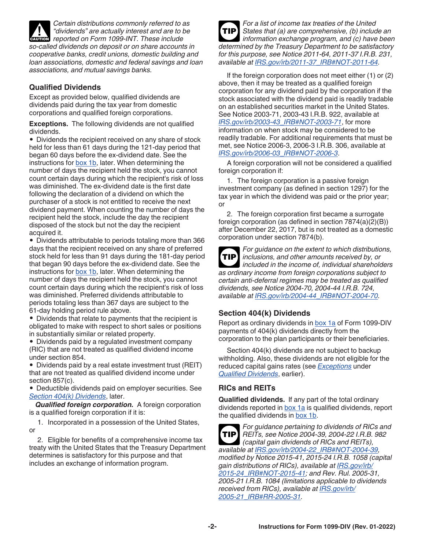<span id="page-1-0"></span>

*Certain distributions commonly referred to as "dividends" are actually interest and are to be*  **reported on Form 1099-INT. These include** *so-called dividends on deposit or on share accounts in cooperative banks, credit unions, domestic building and loan associations, domestic and federal savings and loan associations, and mutual savings banks.*

#### **Qualified Dividends**

Except as provided below, qualified dividends are dividends paid during the tax year from domestic corporations and qualified foreign corporations.

**Exceptions.** The following dividends are not qualified dividends.

• Dividends the recipient received on any share of stock held for less than 61 days during the 121-day period that began 60 days before the ex-dividend date. See the instructions for [box 1b,](#page-3-0) later. When determining the number of days the recipient held the stock, you cannot count certain days during which the recipient's risk of loss was diminished. The ex-dividend date is the first date following the declaration of a dividend on which the purchaser of a stock is not entitled to receive the next dividend payment. When counting the number of days the recipient held the stock, include the day the recipient disposed of the stock but not the day the recipient acquired it.

• Dividends attributable to periods totaling more than 366 days that the recipient received on any share of preferred stock held for less than 91 days during the 181-day period that began 90 days before the ex-dividend date. See the instructions for [box 1b,](#page-3-0) later. When determining the number of days the recipient held the stock, you cannot count certain days during which the recipient's risk of loss was diminished. Preferred dividends attributable to periods totaling less than 367 days are subject to the 61-day holding period rule above.

• Dividends that relate to payments that the recipient is obligated to make with respect to short sales or positions in substantially similar or related property.

• Dividends paid by a regulated investment company (RIC) that are not treated as qualified dividend income under section 854.

• Dividends paid by a real estate investment trust (REIT) that are not treated as qualified dividend income under section 857(c).

• Deductible dividends paid on employer securities. See *Section 404(k) Dividends*, later.

*Qualified foreign corporation.* A foreign corporation is a qualified foreign corporation if it is:

1. Incorporated in a possession of the United States, or

2. Eligible for benefits of a comprehensive income tax treaty with the United States that the Treasury Department determines is satisfactory for this purpose and that includes an exchange of information program.

*For a list of income tax treaties of the United States that (a) are comprehensive, (b) include an information exchange program, and (c) have been determined by the Treasury Department to be satisfactory for this purpose, see Notice 2011-64, 2011-37 I.R.B. 231, available at [IRS.gov/irb/2011-37\\_IRB#NOT-2011-64.](https://www.irs.gov/irb/2011-37_IRB#NOT-2011-64)* **TIP**

If the foreign corporation does not meet either (1) or (2) above, then it may be treated as a qualified foreign corporation for any dividend paid by the corporation if the stock associated with the dividend paid is readily tradable on an established securities market in the United States. See Notice 2003-71, 2003-43 I.R.B. 922, available at *[IRS.gov/irb/2003-43\\_IRB#NOT-2003-71](https://www.irs.gov/irb/2003-43_IRB#NOT-2003-71)*, for more information on when stock may be considered to be readily tradable. For additional requirements that must be met, see Notice 2006-3, 2006-3 I.R.B. 306, available at *[IRS.gov/irb/2006-03\\_IRB#NOT-2006-3](https://www.irs.gov/irb/2006-03_IRB#NOT-2006-3)*.

A foreign corporation will not be considered a qualified foreign corporation if:

1. The foreign corporation is a passive foreign investment company (as defined in section 1297) for the tax year in which the dividend was paid or the prior year; or

2. The foreign corporation first became a surrogate foreign corporation (as defined in section 7874(a)(2)(B)) after December 22, 2017, but is not treated as a domestic corporation under section 7874(b).

**TIP**

*For guidance on the extent to which distributions, inclusions, and other amounts received by, or included in the income of, individual shareholders as ordinary income from foreign corporations subject to* 

*certain anti-deferral regimes may be treated as qualified dividends, see Notice 2004-70, 2004-44 I.R.B. 724, available at [IRS.gov/irb/2004-44\\_IRB#NOT-2004-70.](https://www.irs.gov/irb/2004-44_IRB#NOT-2004-70)*

#### **Section 404(k) Dividends**

Report as ordinary dividends in [box 1a](#page-3-0) of Form 1099-DIV payments of 404(k) dividends directly from the corporation to the plan participants or their beneficiaries.

Section 404(k) dividends are not subject to backup withholding. Also, these dividends are not eligible for the reduced capital gains rates (see *Exceptions* under *Qualified Dividends*, earlier).

#### **RICs and REITs**

**Qualified dividends.** If any part of the total ordinary dividends reported in [box 1a](#page-3-0) is qualified dividends, report the qualified dividends in [box 1b.](#page-3-0)

*For guidance pertaining to dividends of RICs and REITs, see Notice 2004-39, 2004-22 I.R.B. 982 (capital gain dividends of RICs and REITs), available at [IRS.gov/irb/2004-22\\_IRB#NOT-2004-39,](https://www.irs.gov/irb/2004-22_IRB#NOT-2004-39) modified by Notice 2015-41, 2015-24 I.R.B. 1058 (capital gain distributions of RICs), available at [IRS.gov/irb/](https://www.irs.gov/irb/2015-24_IRB#NOT-2015-41) [2015-24\\_IRB#NOT-2015-41](https://www.irs.gov/irb/2015-24_IRB#NOT-2015-41); and Rev. Rul. 2005-31, 2005-21 I.R.B. 1084 (limitations applicable to dividends received from RICs), available at [IRS.gov/irb/](https://www.irs.gov/irb/2005-21_IRB#RR-2005-31) [2005-21\\_IRB#RR-2005-31.](https://www.irs.gov/irb/2005-21_IRB#RR-2005-31)* **TIP**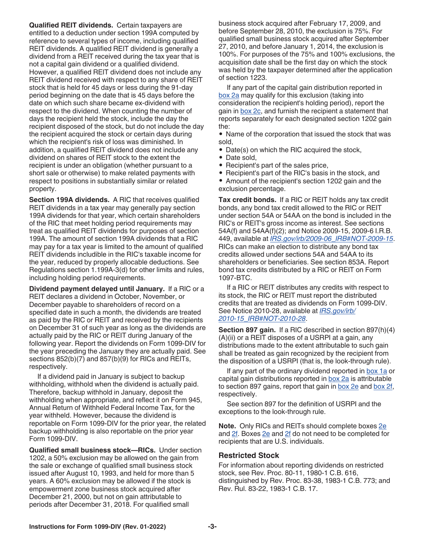<span id="page-2-0"></span>**Qualified REIT dividends.** Certain taxpayers are entitled to a deduction under section 199A computed by reference to several types of income, including qualified REIT dividends. A qualified REIT dividend is generally a dividend from a REIT received during the tax year that is not a capital gain dividend or a qualified dividend. However, a qualified REIT dividend does not include any REIT dividend received with respect to any share of REIT stock that is held for 45 days or less during the 91-day period beginning on the date that is 45 days before the date on which such share became ex-dividend with respect to the dividend. When counting the number of days the recipient held the stock, include the day the recipient disposed of the stock, but do not include the day the recipient acquired the stock or certain days during which the recipient's risk of loss was diminished. In addition, a qualified REIT dividend does not include any dividend on shares of REIT stock to the extent the recipient is under an obligation (whether pursuant to a short sale or otherwise) to make related payments with respect to positions in substantially similar or related property.

**Section 199A dividends.** A RIC that receives qualified REIT dividends in a tax year may generally pay section 199A dividends for that year, which certain shareholders of the RIC that meet holding period requirements may treat as qualified REIT dividends for purposes of section 199A. The amount of section 199A dividends that a RIC may pay for a tax year is limited to the amount of qualified REIT dividends includible in the RIC's taxable income for the year, reduced by properly allocable deductions. See Regulations section 1.199A-3(d) for other limits and rules, including holding period requirements.

**Dividend payment delayed until January.** If a RIC or a REIT declares a dividend in October, November, or December payable to shareholders of record on a specified date in such a month, the dividends are treated as paid by the RIC or REIT and received by the recipients on December 31 of such year as long as the dividends are actually paid by the RIC or REIT during January of the following year. Report the dividends on Form 1099-DIV for the year preceding the January they are actually paid. See sections 852(b)(7) and 857(b)(9) for RICs and REITs, respectively.

If a dividend paid in January is subject to backup withholding, withhold when the dividend is actually paid. Therefore, backup withhold in January, deposit the withholding when appropriate, and reflect it on Form 945, Annual Return of Withheld Federal Income Tax, for the year withheld. However, because the dividend is reportable on Form 1099-DIV for the prior year, the related backup withholding is also reportable on the prior year Form 1099-DIV.

**Qualified small business stock—RICs.** Under section 1202, a 50% exclusion may be allowed on the gain from the sale or exchange of qualified small business stock issued after August 10, 1993, and held for more than 5 years. A 60% exclusion may be allowed if the stock is empowerment zone business stock acquired after December 21, 2000, but not on gain attributable to periods after December 31, 2018. For qualified small

business stock acquired after February 17, 2009, and before September 28, 2010, the exclusion is 75%. For qualified small business stock acquired after September 27, 2010, and before January 1, 2014, the exclusion is 100%. For purposes of the 75% and 100% exclusions, the acquisition date shall be the first day on which the stock was held by the taxpayer determined after the application of section 1223.

If any part of the capital gain distribution reported in [box 2a](#page-3-0) may qualify for this exclusion (taking into consideration the recipient's holding period), report the gain in [box 2c,](#page-3-0) and furnish the recipient a statement that reports separately for each designated section 1202 gain the:

• Name of the corporation that issued the stock that was sold,

- Date(s) on which the RIC acquired the stock,
- Date sold,
- Recipient's part of the sales price,
- Recipient's part of the RIC's basis in the stock, and

• Amount of the recipient's section 1202 gain and the exclusion percentage.

**Tax credit bonds.** If a RIC or REIT holds any tax credit bonds, any bond tax credit allowed to the RIC or REIT under section 54A or 54AA on the bond is included in the RIC's or REIT's gross income as interest. See sections 54A(f) and 54AA(f)(2); and Notice 2009-15, 2009-6 I.R.B. 449, available at *[IRS.gov/irb/2009-06\\_IRB#NOT-2009-15](https://www.irs.gov/irb/2009-06_IRB#NOT-2009-15)*. RICs can make an election to distribute any bond tax credits allowed under sections 54A and 54AA to its shareholders or beneficiaries. See section 853A. Report bond tax credits distributed by a RIC or REIT on Form 1097-BTC.

If a RIC or REIT distributes any credits with respect to its stock, the RIC or REIT must report the distributed credits that are treated as dividends on Form 1099-DIV. See Notice 2010-28, available at *[IRS.gov/irb/](https://www.irs.gov/irb/2010-15_IRB#NOT-2010-28) [2010-15\\_IRB#NOT-2010-28](https://www.irs.gov/irb/2010-15_IRB#NOT-2010-28)*.

**Section 897 gain.** If a RIC described in section 897(h)(4) (A)(ii) or a REIT disposes of a USRPI at a gain, any distributions made to the extent attributable to such gain shall be treated as gain recognized by the recipient from the disposition of a USRPI (that is, the look-through rule).

If any part of the ordinary dividend reported in [box 1a](#page-3-0) or capital gain distributions reported in [box 2a](#page-3-0) is attributable to section 897 gains, report that gain in [box 2e](#page-4-0) and [box 2f](#page-4-0), respectively.

See section 897 for the definition of USRPI and the exceptions to the look-through rule.

**Note.** Only RICs and REITs should complete boxes [2e](#page-4-0)  and  $2f$ . Boxes  $2e$  and  $2f$  do not need to be completed for recipients that are U.S. individuals.

#### **Restricted Stock**

For information about reporting dividends on restricted stock, see Rev. Proc. 80-11, 1980-1 C.B. 616, distinguished by Rev. Proc. 83-38, 1983-1 C.B. 773; and Rev. Rul. 83-22, 1983-1 C.B. 17.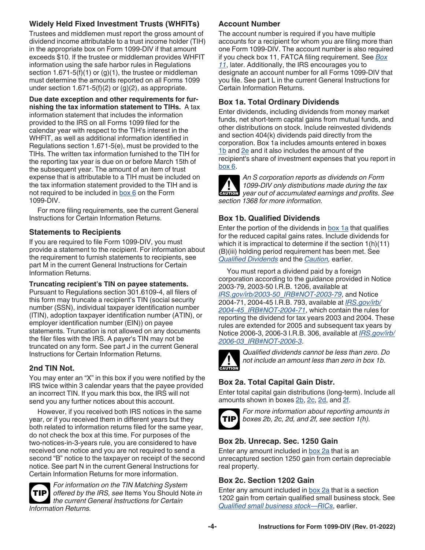## <span id="page-3-0"></span>**Widely Held Fixed Investment Trusts (WHFITs)**

Trustees and middlemen must report the gross amount of dividend income attributable to a trust income holder (TIH) in the appropriate box on Form 1099-DIV if that amount exceeds \$10. If the trustee or middleman provides WHFIT information using the safe harbor rules in Regulations section  $1.671-5(f)(1)$  or  $(g)(1)$ , the trustee or middleman must determine the amounts reported on all Forms 1099 under section  $1.671-5(f)(2)$  or  $(g)(2)$ , as appropriate.

**Due date exception and other requirements for furnishing the tax information statement to TIHs.** A tax information statement that includes the information provided to the IRS on all Forms 1099 filed for the calendar year with respect to the TIH's interest in the WHFIT, as well as additional information identified in Regulations section 1.671-5(e), must be provided to the TIHs. The written tax information furnished to the TIH for the reporting tax year is due on or before March 15th of the subsequent year. The amount of an item of trust expense that is attributable to a TIH must be included on the tax information statement provided to the TIH and is not required to be included in  $box 6$  on the Form 1099-DIV.

For more filing requirements, see the current General Instructions for Certain Information Returns.

## **Statements to Recipients**

If you are required to file Form 1099-DIV, you must provide a statement to the recipient. For information about the requirement to furnish statements to recipients, see part M in the current General Instructions for Certain Information Returns.

**Truncating recipient's TIN on payee statements.** 

Pursuant to Regulations section 301.6109-4, all filers of this form may truncate a recipient's TIN (social security number (SSN), individual taxpayer identification number (ITIN), adoption taxpayer identification number (ATIN), or employer identification number (EIN)) on payee statements. Truncation is not allowed on any documents the filer files with the IRS. A payer's TIN may not be truncated on any form. See part J in the current General Instructions for Certain Information Returns.

## **2nd TIN Not.**

You may enter an "X" in this box if you were notified by the IRS twice within 3 calendar years that the payee provided an incorrect TIN. If you mark this box, the IRS will not send you any further notices about this account.

However, if you received both IRS notices in the same year, or if you received them in different years but they both related to information returns filed for the same year, do not check the box at this time. For purposes of the two-notices-in-3-years rule, you are considered to have received one notice and you are not required to send a second "B" notice to the taxpayer on receipt of the second notice. See part N in the current General Instructions for Certain Information Returns for more information.



*For information on the TIN Matching System offered by the IRS, see* Items You Should Note *in the current General Instructions for Certain Information Returns.*

## **Account Number**

The account number is required if you have multiple accounts for a recipient for whom you are filing more than one Form 1099-DIV. The account number is also required if you check box 11, FATCA filing requirement. See *[Box](#page-4-0) [11](#page-4-0)*, later. Additionally, the IRS encourages you to designate an account number for all Forms 1099-DIV that you file. See part L in the current General Instructions for Certain Information Returns.

## **Box 1a. Total Ordinary Dividends**

Enter dividends, including dividends from money market funds, net short-term capital gains from mutual funds, and other distributions on stock. Include reinvested dividends and section 404(k) dividends paid directly from the corporation. Box 1a includes amounts entered in boxes 1b and [2e](#page-4-0) and it also includes the amount of the recipient's share of investment expenses that you report in [box 6](#page-4-0).



*An S corporation reports as dividends on Form 1099-DIV only distributions made during the tax year out of accumulated earnings and profits. See section 1368 for more information.*

## **Box 1b. Qualified Dividends**

Enter the portion of the dividends in box 1a that qualifies for the reduced capital gains rates. Include dividends for which it is impractical to determine if the section 1(h)(11) (B)(iii) holding period requirement has been met. See *[Qualified Dividends](#page-1-0)* and the *[Caution,](#page-1-0)* earlier.

You must report a dividend paid by a foreign corporation according to the guidance provided in Notice 2003-79, 2003-50 I.R.B. 1206, available at *[IRS.gov/irb/2003-50\\_IRB#NOT-2003-79](https://www.irs.gov/irb/2003-50_IRB#NOT-2003-79)*, and Notice 2004-71, 2004-45 I.R.B. 793, available at *[IRS.gov/irb/](https://www.irs.gov/irb/2004-45_IRB#NOT-2004-71) [2004-45\\_IRB#NOT-2004-71](https://www.irs.gov/irb/2004-45_IRB#NOT-2004-71)*, which contain the rules for reporting the dividend for tax years 2003 and 2004. These rules are extended for 2005 and subsequent tax years by Notice 2006-3, 2006-3 I.R.B. 306, available at *[IRS.gov/irb/](https://www.irs.gov/irb/2006-03_IRB#NOT-2006-3) [2006-03\\_IRB#NOT-2006-3](https://www.irs.gov/irb/2006-03_IRB#NOT-2006-3)*.



*Qualified dividends cannot be less than zero. Do not include an amount less than zero in box 1b.*

## **Box 2a. Total Capital Gain Distr.**

Enter total capital gain distributions (long-term). Include all amounts shown in boxes 2b, 2c, [2d,](#page-4-0) and [2f.](#page-4-0)



*For more information about reporting amounts in boxes 2b, 2c, 2d, and 2f, see section 1(h).*

## **Box 2b. Unrecap. Sec. 1250 Gain**

Enter any amount included in box 2a that is an unrecaptured section 1250 gain from certain depreciable real property.

## **Box 2c. Section 1202 Gain**

Enter any amount included in box 2a that is a section 1202 gain from certain qualified small business stock. See *[Qualified small business stock—RICs](#page-2-0)*, earlier.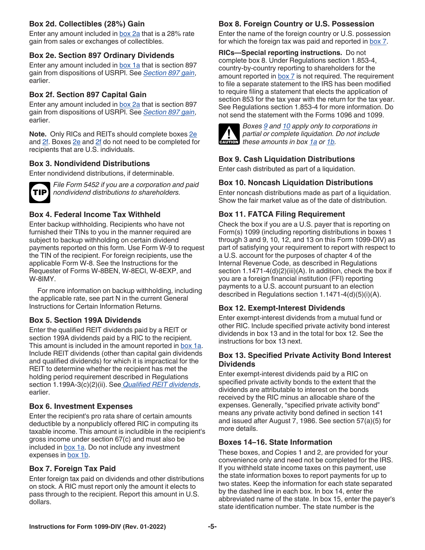#### <span id="page-4-0"></span>**Box 2d. Collectibles (28%) Gain**

Enter any amount included in [box 2a](#page-3-0) that is a 28% rate gain from sales or exchanges of collectibles.

## **Box 2e. Section 897 Ordinary Dividends**

Enter any amount included in [box 1a](#page-3-0) that is section 897 gain from dispositions of USRPI. See *[Section 897 gain](#page-2-0)*, earlier.

## **Box 2f. Section 897 Capital Gain**

Enter any amount included in [box 2a](#page-3-0) that is section 897 gain from dispositions of USRPI. See *[Section 897 gain](#page-2-0)*, earlier.

**Note.** Only RICs and REITs should complete boxes 2e and 2f. Boxes 2e and 2f do not need to be completed for recipients that are U.S. individuals.

## **Box 3. Nondividend Distributions**

Enter nondividend distributions, if determinable.



*File Form 5452 if you are a corporation and paid nondividend distributions to shareholders.*

## **Box 4. Federal Income Tax Withheld**

Enter backup withholding. Recipients who have not furnished their TINs to you in the manner required are subject to backup withholding on certain dividend payments reported on this form. Use Form W-9 to request the TIN of the recipient. For foreign recipients, use the applicable Form W-8. See the Instructions for the Requester of Forms W-8BEN, W-8ECI, W-8EXP, and W-8IMY.

For more information on backup withholding, including the applicable rate, see part N in the current General Instructions for Certain Information Returns.

#### **Box 5. Section 199A Dividends**

Enter the qualified REIT dividends paid by a REIT or section 199A dividends paid by a RIC to the recipient. This amount is included in the amount reported in [box 1a](#page-3-0). Include REIT dividends (other than capital gain dividends and qualified dividends) for which it is impractical for the REIT to determine whether the recipient has met the holding period requirement described in Regulations section 1.199A-3(c)(2)(ii). See *[Qualified REIT dividends](#page-2-0)*, earlier.

#### **Box 6. Investment Expenses**

Enter the recipient's pro rata share of certain amounts deductible by a nonpublicly offered RIC in computing its taxable income. This amount is includible in the recipient's gross income under section 67(c) and must also be included in [box 1a.](#page-3-0) Do not include any investment expenses in [box 1b](#page-3-0).

#### **Box 7. Foreign Tax Paid**

Enter foreign tax paid on dividends and other distributions on stock. A RIC must report only the amount it elects to pass through to the recipient. Report this amount in U.S. dollars.

## **Box 8. Foreign Country or U.S. Possession**

Enter the name of the foreign country or U.S. possession for which the foreign tax was paid and reported in box 7.

**RICs—Special reporting instructions.** Do not complete box 8. Under Regulations section 1.853-4, country-by-country reporting to shareholders for the amount reported in  $box 7$  is not required. The requirement to file a separate statement to the IRS has been modified to require filing a statement that elects the application of section 853 for the tax year with the return for the tax year. See Regulations section 1.853-4 for more information. Do not send the statement with the Forms 1096 and 1099.



*Boxes 9 and 10 apply only to corporations in partial or complete liquidation. Do not include*  **h** partial or complete liquidation.<br>
these amounts in box [1a](#page-3-0) or [1b](#page-3-0).

## **Box 9. Cash Liquidation Distributions**

Enter cash distributed as part of a liquidation.

#### **Box 10. Noncash Liquidation Distributions**

Enter noncash distributions made as part of a liquidation. Show the fair market value as of the date of distribution.

## **Box 11. FATCA Filing Requirement**

Check the box if you are a U.S. payer that is reporting on Form(s) 1099 (including reporting distributions in boxes 1 through 3 and 9, 10, 12, and 13 on this Form 1099-DIV) as part of satisfying your requirement to report with respect to a U.S. account for the purposes of chapter 4 of the Internal Revenue Code, as described in Regulations section 1.1471-4(d)(2)(iii)(A). In addition, check the box if you are a foreign financial institution (FFI) reporting payments to a U.S. account pursuant to an election described in Regulations section 1.1471-4(d)(5)(i)(A).

#### **Box 12. Exempt-Interest Dividends**

Enter exempt-interest dividends from a mutual fund or other RIC. Include specified private activity bond interest dividends in box 13 and in the total for box 12. See the instructions for box 13 next.

#### **Box 13. Specified Private Activity Bond Interest Dividends**

Enter exempt-interest dividends paid by a RIC on specified private activity bonds to the extent that the dividends are attributable to interest on the bonds received by the RIC minus an allocable share of the expenses. Generally, "specified private activity bond" means any private activity bond defined in section 141 and issued after August 7, 1986. See section 57(a)(5) for more details.

#### **Boxes 14–16. State Information**

These boxes, and Copies 1 and 2, are provided for your convenience only and need not be completed for the IRS. If you withheld state income taxes on this payment, use the state information boxes to report payments for up to two states. Keep the information for each state separated by the dashed line in each box. In box 14, enter the abbreviated name of the state. In box 15, enter the payer's state identification number. The state number is the